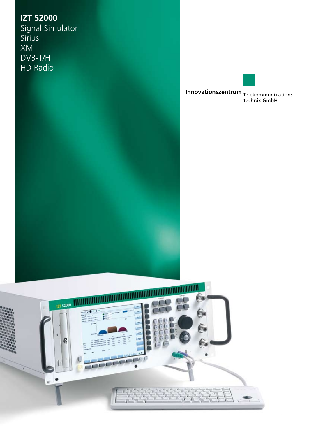**IZT S2000** Signal Simulator **Sirius** XM DVB-T/H HD Radio



**Innovationszentrum**<br>Telekommunikations-<br>technik GmbH

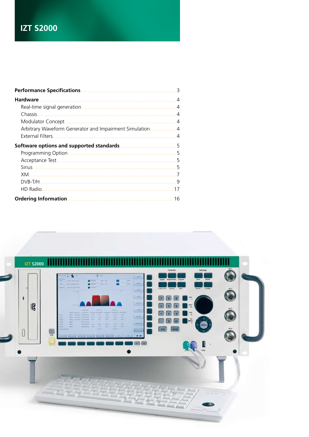# **IZT S2000**

| <b>Performance Specifications</b>                      | 3              |
|--------------------------------------------------------|----------------|
| <b>Hardware</b>                                        | $\overline{4}$ |
|                                                        | $\overline{4}$ |
| Chassis                                                | $\overline{4}$ |
| Modulator Concept.                                     | -4             |
| Arbitrary Waveform Generator and Impairment Simulation | $\overline{4}$ |
| External Filters                                       |                |
|                                                        | 5              |
|                                                        | 5              |
|                                                        | 5              |
|                                                        | 5              |
| XM                                                     | 7              |
|                                                        | 9              |
| HD Radio.                                              | 17             |
| <b>Ordering Information</b>                            | 16             |
|                                                        |                |

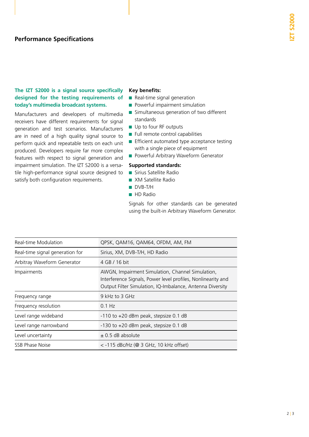### **The IZT S2000 is a signal source specifically designed for the testing requirements of today's multimedia broadcast systems.**

Manufacturers and developers of multimedia receivers have different requirements for signal generation and test scenarios. Manufacturers are in need of a high quality signal source to perform quick and repeatable tests on each unit produced. Developers require far more complex features with respect to signal generation and impairment simulation. The IZT S2000 is a versatile high-performance signal source designed to satisfy both configuration requirements.

#### **Key benefits:**

- Real-time signal generation
- Powerful impairment simulation
- Simultaneous generation of two different standards
- Up to four RF outputs
- Full remote control capabilities
- Efficient automated type acceptance testing with a single piece of equipment
- Powerful Arbitrary Waveform Generator

### **Supported standards:**

- Sirius Satellite Radio
- XM Satellite Radio
- DVB-T/H
- HD Radio

Signals for other standards can be generated using the built-in Arbitrary Waveform Generator.

| Real-time Modulation            | QPSK, QAM16, QAM64, OFDM, AM, FM                                                                                                                                              |
|---------------------------------|-------------------------------------------------------------------------------------------------------------------------------------------------------------------------------|
| Real-time signal generation for | Sirius, XM, DVB-T/H, HD Radio                                                                                                                                                 |
| Arbitray Waveform Generator     | 4 GB / 16 bit                                                                                                                                                                 |
| Impairments                     | AWGN, Impairment Simulation, Channel Simulation,<br>Interference Signals, Power level profiles, Nonlinearity and<br>Output Filter Simulation, IQ-Imbalance, Antenna Diversity |
| Frequency range                 | 9 kHz to 3 GHz                                                                                                                                                                |
| Frequency resolution            | $0.1$ Hz                                                                                                                                                                      |
| Level range wideband            | -110 to +20 dBm peak, stepsize 0.1 dB                                                                                                                                         |
| Level range narrowband          | -130 to +20 dBm peak, stepsize 0.1 dB                                                                                                                                         |
| Level uncertainty               | $\pm$ 0.5 dB absolute                                                                                                                                                         |
| SSB Phase Noise                 | $<$ -115 dBc/Hz (@ 3 GHz, 10 kHz offset)                                                                                                                                      |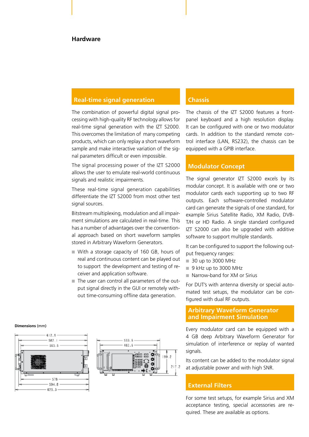### **Hardware**

### **Real-time signal generation**

The combination of powerful digital signal processing with high-quality RF technology allows for real-time signal generation with the IZT S2000. This overcomes the limitation of many competing products, which can only replay a short waveform sample and make interactive variation of the signal parameters difficult or even impossible.

The signal processing power of the IZT S2000 allows the user to emulate real-world continuous signals and realistic impairments.

These real-time signal generation capabilities differentiate the IZT S2000 from most other test signal sources.

Bitstream multiplexing, modulation and all impairment simulations are calculated in real-time. This has a number of advantages over the conventional approach based on short waveform samples stored in Arbitrary Waveform Generators.

- With a storage capacity of 160 GB, hours of real and continuous content can be played out to support the development and testing of receiver and application software.
- The user can control all parameters of the output signal directly in the GUI or remotely without time-consuming offline data generation.

### **Chassis**

The chassis of the IZT S2000 features a frontpanel keyboard and a high resolution display. It can be configured with one or two modulator cards. In addition to the standard remote control interface (LAN, RS232), the chassis can be equipped with a GPIB interface.

### **Modulator Concept**

The signal generator IZT S2000 excels by its modular concept. It is available with one or two modulator cards each supporting up to two RF outputs. Each software-controlled modulator card can generate the signals of one standard, for example Sirius Satellite Radio, XM Radio, DVB-T/H or HD Radio. A single standard configured IZT S2000 can also be upgraded with additive software to support multiple standards.

It can be configured to support the following output frequency ranges:

- 30 up to 3000 MHz
- 9 kHz up to 3000 MHz
- Narrow-band for XM or Sirius

For DUT's with antenna diversity or special automated test setups, the modulator can be configured with dual RF outputs.

### **Arbitrary Waveform Generator and Impairment Simulation**

Every modulator card can be equipped with a 4 GB deep Arbitrary Waveform Generator for simulation of interference or replay of wanted signals.

Its content can be added to the modulator signal at adjustable power and with high SNR.

#### **External Filters**

For some test setups, for example Sirius and XM acceptance testing, special accessories are required. These are available as options.

#### **Dimensions** (mm)



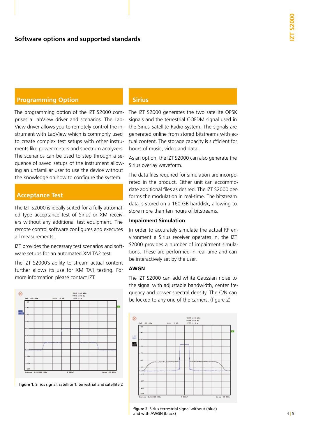### **Programming Option**

The programming option of the IZT S2000 comprises a LabView driver and scenarios. The Lab-View driver allows you to remotely control the instrument with LabView which is commonly used to create complex test setups with other instruments like power meters and spectrum analyzers. The scenarios can be used to step through a sequence of saved setups of the instrument allowing an unfamiliar user to use the device without the knowledge on how to configure the system.

### **Acceptance Test**

The IZT S2000 is ideally suited for a fully automated type acceptance test of Sirius or XM receivers without any additional test equipment. The remote control software configures and executes all measurements.

IZT provides the necessary test scenarios and software setups for an automated XM TA2 test.

The IZT S2000's ability to stream actual content further allows its use for XM TA1 testing. For more information please contact IZT.



figure 1: Sirius signal: satellite 1, terrestrial and satellite 2

### **Sirius**

The IZT S2000 generates the two satellite QPSK signals and the terrestrial COFDM signal used in the Sirius Satellite Radio system. The signals are generated online from stored bitstreams with actual content. The storage capacity is sufficient for hours of music, video and data.

As an option, the IZT S2000 can also generate the Sirius overlay waveform.

The data files required for simulation are incorporated in the product. Either unit can accommodate additional files as desired. The IZT S2000 performs the modulation in real-time. The bitstream data is stored on a 160 GB harddisk, allowing to store more than ten hours of bitstreams.

#### **Impairment Simulation**

In order to accurately simulate the actual RF environment a Sirius receiver operates in, the IZT S2000 provides a number of impairment simulations. These are performed in real-time and can be interactively set by the user.

### **AWGN**

The IZT S2000 can add white Gaussian noise to the signal with adjustable bandwidth, center frequency and power spectral density. The C/N can be locked to any one of the carriers. (figure 2)



figure 2: Sirius terrestrial signal without (blue) and with AWGN (black) and with AWGN (black) and with AWGN (black) and with  $4 \mid 5$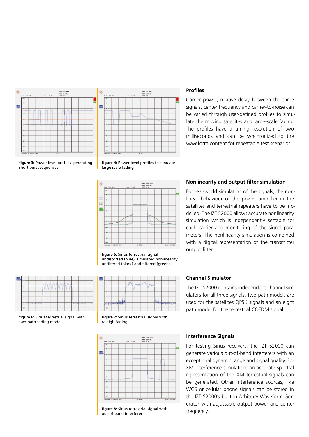



### **Profiles**

Carrier power, relative delay between the three signals, center frequency and carrier-to-noise can be varied through user-defined profiles to simulate the moving satellites and large-scale fading. The profiles have a timing resolution of two milliseconds and can be synchronized to the waveform content for repeatable test scenarios.



figure 4: Power level profiles to simulate large scale fading



**figure 5:** Sirius terrestrial signal undistorted (blue), simulated nonlinearity unfiltered (black) and filtered (green)



figure 6: Sirius terrestrial signal with two-path fading model



figure 7: Sirius terrestrial signal with raleigh fading



figure 8: Sirius terrestrial signal with out-of-band interferer

#### **Nonlinearity and output filter simulation**

For real-world simulation of the signals, the nonlinear behaviour of the power amplifier in the satellites and terrestrial repeaters have to be modelled. The IZT S2000 allows accurate nonlinearity simulation which is independently settable for each carrier and monitoring of the signal parameters. The nonlinearity simulation is combined with a digital representation of the transmitter output filter.

### **Channel Simulator**

The IZT S2000 contains independent channel simulators for all three signals. Two-path models are used for the satellites QPSK signals and an eight path model for the terrestrial COFDM signal.

#### **Interference Signals**

For testing Sirius receivers, the IZT S2000 can generate various out-of-band interferers with an exceptional dynamic range and signal quality. For XM interference simulation, an accurate spectral representation of the XM terrestrial signals can be generated. Other interference sources, like WCS or cellular phone signals can be stored in the IZT S2000's built-in Arbitrary Waveform Generator with adjustable output power and center frequency.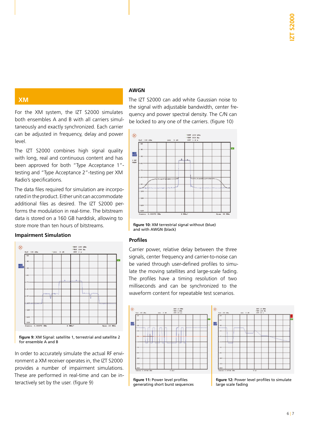### **XM**

For the XM system, the IZT S2000 simulates both ensembles A and B with all carriers simultaneously and exactly synchronized. Each carrier can be adjusted in frequency, delay and power level.

The IZT S2000 combines high signal quality with long, real and continuous content and has been approved for both "Type Acceptance 1" testing and "Type Acceptance 2"-testing per XM Radio's specifications.

The data files required for simulation are incorporated in the product. Either unit can accommodate additional files as desired. The IZT S2000 performs the modulation in real-time. The bitstream data is stored on a 160 GB harddisk, allowing to store more than ten hours of bitstreams.

#### **Impairment Simulation**



figure 9: XM Signal: satellite 1, terrestrial and satellite 2 for ensemble A and B

In order to accurately simulate the actual RF environment a XM receiver operates in, the IZT S2000 provides a number of impairment simulations. These are performed in real-time and can be interactively set by the user. (figure 9)

### **AWGN**

The IZT S2000 can add white Gaussian noise to the signal with adjustable bandwidth, center frequency and power spectral density. The C/N can be locked to any one of the carriers. (figure 10)



figure 10: XM terrestrial signal without (blue) and with AWGN (black)

#### **Profi les**

Carrier power, relative delay between the three signals, center frequency and carrier-to-noise can be varied through user-defined profiles to simulate the moving satellites and large-scale fading. The profiles have a timing resolution of two milliseconds and can be synchronized to the waveform content for repeatable test scenarios.





figure 11: Power level profiles generating short burst sequences

figure 12: Power level profiles to simulate large scale fading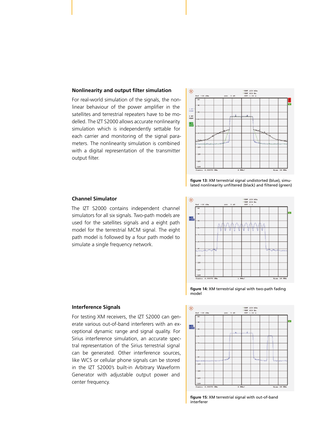#### **Nonlinearity and output filter simulation**

For real-world simulation of the signals, the nonlinear behaviour of the power amplifier in the satellites and terrestrial repeaters have to be modelled. The IZT S2000 allows accurate nonlinearity simulation which is independently settable for each carrier and monitoring of the signal parameters. The nonlinearity simulation is combined with a digital representation of the transmitter output filter.



figure 13: XM terrestrial signal undistorted (blue), simulated nonlinearity unfiltered (black) and filtered (green)



The IZT S2000 contains independent channel simulators for all six signals. Two-path models are used for the satellites signals and a eight path model for the terrestrial MCM signal. The eight path model is followed by a four path model to simulate a single frequency network.



#### figure 14: XM terrestrial signal with two-path fading model



figure 15: XM terrestrial signal with out-of-band interferer

#### **Interference Signals**

For testing XM receivers, the IZT S2000 can generate various out-of-band interferers with an exceptional dynamic range and signal quality. For Sirius interference simulation, an accurate spectral representation of the Sirius terrestrial signal can be generated. Other interference sources, like WCS or cellular phone signals can be stored in the IZT S2000's built-in Arbitrary Waveform Generator with adjustable output power and center frequency.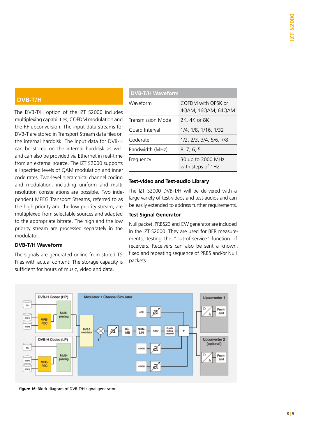### **DVB-T/H**

The DVB-T/H option of the IZT S2000 includes multiplexing capabilities, COFDM modulation and the RF upconversion. The input data streams for DVB-T are stored in Transport Stream data files on the internal harddisk. The input data for DVB-H can be stored on the internal harddisk as well and can also be provided via Ethernet in real-time from an external source. The IZT S2000 supports all specified levels of OAM modulation and inner code rates. Two-level hierarchical channel coding and modulation, including uniform and multiresolution constellations are possible. Two independent MPEG Transport Streams, referred to as the high priority and the low priority stream, are multiplexed from selectable sources and adapted to the appropriate bitrate. The high and the low priority stream are processed separately in the modulator.

### **DVB-T/H Waveform**

The signals are generated online from stored TS-Files with actual content. The storage capacity is sufficient for hours of music, video and data.

| <b>DVB-T/H Waveform</b> |                                          |  |
|-------------------------|------------------------------------------|--|
| Waveform                | COFDM with QPSK or<br>4QAM, 16QAM, 64QAM |  |
| Transmission Mode       | 2K, 4K or 8K                             |  |
| Guard Interval          | 1/4, 1/8, 1/16, 1/32                     |  |
| Coderate                | 1/2, 2/3, 3/4, 5/6, 7/8                  |  |
| Bandwidth (MHz)         | 8, 7, 6, 5                               |  |
| Frequency               | 30 up to 3000 MHz<br>with steps of 1Hz   |  |

### **Test-video and Test-audio Library**

The IZT S2000 DVB-T/H will be delivered with a large variety of test-videos and test-audios and can be easily extended to address further requirements.

#### **Test Signal Generator**

Null packet, PRBS23 and CW generator are included in the IZT S2000. They are used for BER measurements, testing the "out-of-service"-function of receivers. Receivers can also be sent a known, fixed and repeating sequence of PRBS and/or Null packets.



figure 16: Block diagram of DVB-T/H signal generator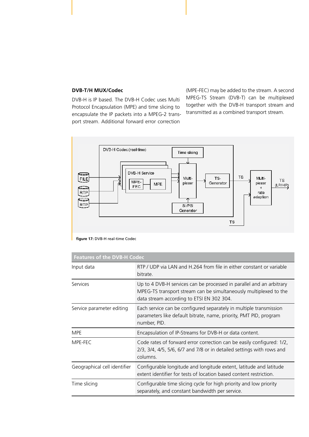#### **DVB-T/H MUX/Codec**

DVB-H is IP based. The DVB-H Codec uses Multi Protocol Encapsulation (MPE) and time slicing to encapsulate the IP packets into a MPEG-2 transport stream. Additional forward error correction

(MPE-FEC) may be added to the stream. A second MPEG-TS Stream (DVB-T) can be multiplexed together with the DVB-H transport stream and transmitted as a combined transport stream.



**figure 17:** DVB-H real-time Codec

| <b>Features of the DVB-H Codec</b> |                                                                                                                                                                                        |  |  |
|------------------------------------|----------------------------------------------------------------------------------------------------------------------------------------------------------------------------------------|--|--|
| Input data                         | RTP / UDP via LAN and H.264 from file in either constant or variable<br>bitrate.                                                                                                       |  |  |
| <b>Services</b>                    | Up to 4 DVB-H services can be processed in parallel and an arbitrary<br>MPEG-TS transport stream can be simultaneously multiplexed to the<br>data stream according to ETSI EN 302 304. |  |  |
| Service parameter editing          | Each service can be configured separately in multiple transmission<br>parameters like default bitrate, name, priority, PMT PID, program<br>number, PID.                                |  |  |
| <b>MPE</b>                         | Encapsulation of IP-Streams for DVB-H or data content.                                                                                                                                 |  |  |
| MPE-FEC                            | Code rates of forward error correction can be easily configured: 1/2,<br>2/3, 3/4, 4/5, 5/6, 6/7 and 7/8 or in detailed settings with rows and<br>columns.                             |  |  |
| Geographical cell identifier       | Configurable longitude and longitude extent, latitude and latitude<br>extent identifier for tests of location based content restriction.                                               |  |  |
| Time slicing                       | Configurable time slicing cycle for high priority and low priority<br>separately, and constant bandwidth per service.                                                                  |  |  |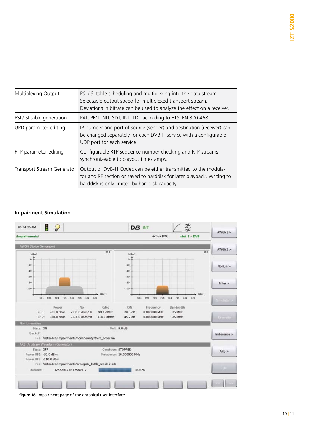| Multiplexing Output               | PSI / SI table scheduling and multiplexing into the data stream.<br>Selectable output speed for multiplexed transport stream.<br>Deviations in bitrate can be used to analyze the effect on a receiver. |
|-----------------------------------|---------------------------------------------------------------------------------------------------------------------------------------------------------------------------------------------------------|
| PSI / SI table generation         | PAT, PMT, NIT, SDT, INT, TDT according to ETSI EN 300 468.                                                                                                                                              |
| UPD parameter editing             | IP-number and port of source (sender) and destination (receiver) can<br>be changed separately for each DVB-H service with a configurable<br>UDP port for each service.                                  |
| RTP parameter editing             | Configurable RTP sequence number checking and RTP streams<br>synchronizeable to playout timestamps.                                                                                                     |
| <b>Transport Stream Generator</b> | Output of DVB-H Codec can be either transmitted to the modula-<br>tor and RF section or saved to harddisk for later playback. Writing to<br>harddisk is only limited by harddisk capacity.              |

### **Impairment Simulation**



**figure 18:** Impairment page of the graphical user interface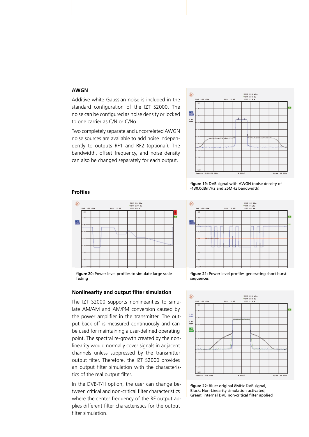### **AWGN**

Additive white Gaussian noise is included in the standard configuration of the IZT S2000. The noise can be configured as noise density or locked to one carrier as C/N or C/No.

Two completely separate and uncorrelated AWGN noise sources are available to add noise independently to outputs RF1 and RF2 (optional). The bandwidth, offset frequency, and noise density can also be changed separately for each output.



#### **Profiles**



figure 20: Power level profiles to simulate large scale fading

#### **Nonlinearity and output filter simulation**

The IZT S2000 supports nonlinearities to simulate AM/AM and AM/PM conversion caused by the power amplifier in the transmitter. The output back-off is measured continuously and can be used for maintaining a user-defined operating point. The spectral re-growth created by the nonlinearity would normally cover signals in adjacent channels unless suppressed by the transmitter output filter. Therefore, the IZT S2000 provides an output filter simulation with the characteristics of the real output filter.

In the DVB-T/H option, the user can change between critical and non-critical filter characteristics where the center frequency of the RF output applies different filter characteristics for the output filter simulation.

figure 19: DVB signal with AWGN (noise density of -130.0dBm/Hz and 25MHz bandwidth)



figure 21: Power level profiles generating short burst sequences



figure 22: Blue: original 8MHz DVB signal, Black: Non-Linearity simulation activated, Green: internal DVB non-critical filter applied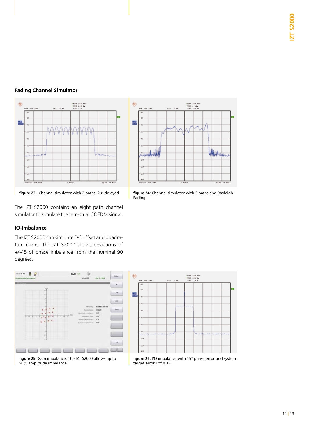### **Fading Channel Simulator**



**figure 23:** Channel simulator with 2 paths, 2µs delayed **figure 24:** Channel simulator with 3 paths and Rayleigh-

The IZT S2000 contains an eight path channel simulator to simulate the terrestrial COFDM signal.

#### **IQ-Imbalance**

The IZT S2000 can simulate DC offset and quadrature errors. The IZT S2000 allows deviations of +/-45 of phase imbalance from the nominal 90 degrees.



figure 25: Gain imbalance: The IZT S2000 allows up to 50% amplitude imbalance



figure 26: I/Q imbalance with 15° phase error and system target error I of 0.35



Fading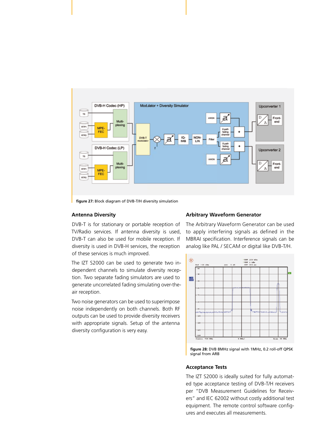

figure 27: Block diagram of DVB-T/H diversity simulation

#### **Antenna Diversity**

DVB-T is for stationary or portable reception of TV/Radio services. If antenna diversity is used, DVB-T can also be used for mobile reception. If diversity is used in DVB-H services, the reception of these services is much improved.

The IZT S2000 can be used to generate two independent channels to simulate diversity reception. Two separate fading simulators are used to generate uncorrelated fading simulating over-theair reception.

Two noise generators can be used to superimpose noise independently on both channels. Both RF outputs can be used to provide diversity receivers with appropriate signals. Setup of the antenna diversity configuration is very easy.

#### **Arbitrary Waveform Generator**

The Arbitrary Waveform Generator can be used to apply interfering signals as defined in the MBRAI specification. Interference signals can be analog like PAL / SECAM or digital like DVB-T/H.



figure 28: DVB 8MHz signal with 1MHz, 0.2 roll-off QPSK signal from ARB

#### **Acceptance Tests**

The IZT S2000 is ideally suited for fully automated type acceptance testing of DVB-T/H receivers per "DVB Measurement Guidelines for Receivers" and IEC 62002 without costly additional test equipment. The remote control software configures and executes all measurements.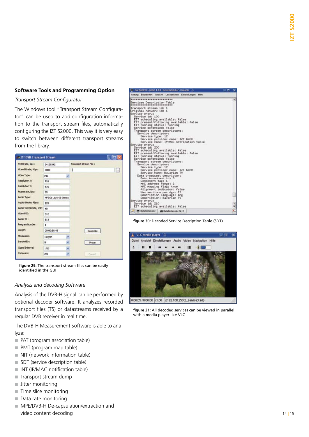#### **Software Tools and Programming Option**

#### **Transport Stream Configurator**

The Windows tool "Transport Stream Configurator" can be used to add configuration information to the transport stream files, automatically configuring the IZT S2000. This way it is very easy to switch between different transport streams from the library.

| TS Bitrate, bps :      | 24128342              |                         |   | Transport Stream File : |                      |
|------------------------|-----------------------|-------------------------|---|-------------------------|----------------------|
| Video Bitrate, I bps;  | 3000                  |                         | I |                         | $\vert \ldots \vert$ |
| <b>Video Type:</b>     | <b>PAL</b>            |                         |   |                         |                      |
| Resolution X:          | 720                   |                         |   |                         |                      |
| Resolution Y:          | 576                   |                         |   |                         |                      |
| Framerate, fps:        | 25                    |                         |   |                         |                      |
| Audio Type:            | MPEG1 Layer II Stereo |                         |   |                         |                      |
| Audo Bitrate, kbps:    | 128                   |                         |   |                         |                      |
| Audio Samplerate, HHz: | 46                    |                         |   |                         |                      |
| Video PID:             | 512                   |                         |   |                         |                      |
| Audio ID:              | 513                   |                         |   |                         |                      |
| Program Number:        | 1                     |                         |   |                         |                      |
| Length:                | 00:00:59,43           |                         |   | Generate                |                      |
| Modulation:            | 16QAM                 | ŵ                       |   |                         |                      |
| <b>Bandwidth:</b>      | D.                    | o                       |   | Prove                   |                      |
| Guard Interval:        | 1/32                  | $\mathcal{M}$           |   |                         |                      |
| Coderate:              | 2/3                   | $\overline{\mathbf{v}}$ |   | Correct                 |                      |

figure 29: The transport stream files can be easily identified in the GUI

#### *Analysis and decoding Software*

Analysis of the DVB-H signal can be performed by optional decoder software. It analyzes recorded transport files (TS) or datastreams received by a regular DVB receiver in real time.

The DVB-H Measurement Software is able to analyze:

- PAT (program association table)
- PMT (program map table)
- NIT (network information table)
- SDT (service description table)
- INT (IP/MAC notification table)
- Transport stream dump
- Jitter monitoring
- Time slice monitoring
- Data rate monitoring
- MPE/DVB-H De-capsulation/extraction and video content decoding

| To her genül 1. - joybh 1.8.0 - Defettsfenster - Konsole  | ು ರ<br>×       |
|-----------------------------------------------------------|----------------|
| Staung Bearbeiten Ansicht Lesezeichen Einstellungen Hille |                |
| **************************                                | ۰              |
| Services Description Table<br>*************************   |                |
| Transport stream id: 1                                    |                |
| Original network id: 1                                    |                |
| Service entru:<br>Service id: 100                         |                |
| EIT scheduling available: false                           |                |
| EIT present/following available: false                    |                |
| EIT running status: running                               |                |
| Service scrambled: false                                  |                |
| Transport stream descriptors:<br>Service descriptor:      |                |
| Service tupe: 12                                          |                |
| Service provider name: IZT GmbH                           |                |
| Service name: IP/MAC notfication table                    |                |
| Service entru:<br>Service id: 200                         |                |
| EIT scheduling available: false                           |                |
| EIT present/following available: false                    |                |
| EIT running status: running                               |                |
| Service scrambled: false<br>Transport stream descriptors: |                |
| Service descriptor:                                       |                |
| Service tupe: 12                                          |                |
| Service provider name: IZT GmbH                           |                |
| Service name: Bavarian TV<br>Data broadcast descriptor:   |                |
| Data broadcast id: 5                                      |                |
| Component tag: 1                                          |                |
| NVC address range: 2                                      |                |
| MAC mapping flag: true<br>Alignment indicator: false      |                |
| Max sections per dgm: 17                                  |                |
| Description language: eng                                 |                |
| Description: Bavarian TV                                  |                |
| Service entru:                                            |                |
| Service id: 210<br>EIT scheduling available: false        | $\ddot{\cdot}$ |
|                                                           |                |
| Bababistanciar<br><b>WE Betehlstensher Nr. 2</b>          |                |

figure 30: Decoded Service Decription Table (SDT)



figure 31: All decoded services can be viewed in parallel with a media player like VLC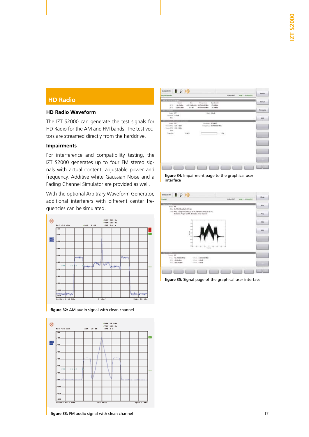### **HD Radio**

### **HD Radio Waveform**

The IZT S2000 can generate the test signals for HD Radio for the AM and FM bands. The test vectors are streamed directly from the harddrive.

### **Impairments**

For interference and compatibility testing, the IZT S2000 generates up to four FM stereo signals with actual content, adjustable power and frequency. Additive white Gaussian Noise and a Fading Channel Simulator are provided as well.

With the optional Arbitrary Waveform Generator, additional interferers with different center frequencies can be simulated.



figure 32: AM audio signal with clean channel



figure 33: FM audio signal with clean channel



figure 34: Impairment page to the graphical user interface

| <b>Frankl</b> :                                     | P                                                                                                            | Actual Matr.<br>sive 1 / indebatrich | Phone           |
|-----------------------------------------------------|--------------------------------------------------------------------------------------------------------------|--------------------------------------|-----------------|
| Hole, fM                                            | Fox: 19. FM-2006 attacks 187-apr-                                                                            |                                      | Pres            |
|                                                     | (16) MGL Eprograms fing L on PL M-libErs Prop to on PL.<br>31 bishts, Paig & on P1. 32 slot/s, class channel |                                      | Press.          |
|                                                     |                                                                                                              |                                      | HH <sub>3</sub> |
|                                                     | H                                                                                                            |                                      | <b>HEE</b>      |
|                                                     | m                                                                                                            |                                      |                 |
|                                                     | ma<br>×<br>×<br>ut.                                                                                          | $-2$<br>ᇃ                            |                 |
| 1111                                                |                                                                                                              |                                      |                 |
| Sauce MF<br>Franz, 94, 700800 Mile<br>111. 20.0 dbs | Univ., 8,0000014665<br>UNL SAM                                                                               |                                      |                 |
| 111-120-8-May                                       | 254 38 W                                                                                                     |                                      |                 |
|                                                     |                                                                                                              |                                      |                 |

**figure 35:** Signal page of the graphical user interface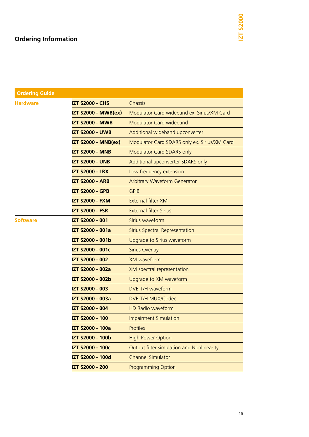## **Ordering Information**

| <b>Ordering Guide</b> |                            |                                              |
|-----------------------|----------------------------|----------------------------------------------|
| <b>Hardware</b>       | <b>IZT S2000 - CHS</b>     | Chassis                                      |
|                       | <b>IZT S2000 - MWB(ex)</b> | Modulator Card wideband ex. Sirius/XM Card   |
|                       | <b>IZT S2000 - MWB</b>     | Modulator Card wideband                      |
|                       | <b>IZT S2000 - UWB</b>     | Additional wideband upconverter              |
|                       | <b>IZT S2000 - MNB(ex)</b> | Modulator Card SDARS only ex. Sirius/XM Card |
|                       | <b>IZT S2000 - MNB</b>     | Modulator Card SDARS only                    |
|                       | <b>IZT S2000 - UNB</b>     | Additional upconverter SDARS only            |
|                       | <b>IZT S2000 - LBX</b>     | Low frequency extension                      |
|                       | <b>IZT S2000 - ARB</b>     | <b>Arbitrary Waveform Generator</b>          |
|                       | <b>IZT S2000 - GPB</b>     | <b>GPIB</b>                                  |
|                       | <b>IZT S2000 - FXM</b>     | <b>External filter XM</b>                    |
|                       | <b>IZT S2000 - FSR</b>     | <b>External filter Sirius</b>                |
| <b>Software</b>       | <b>IZT S2000 - 001</b>     | Sirius waveform                              |
|                       | IZT S2000 - 001a           | Sirius Spectral Representation               |
|                       | IZT S2000 - 001b           | Upgrade to Sirius waveform                   |
|                       | IZT S2000 - 001c           | <b>Sirius Overlay</b>                        |
|                       | IZT S2000 - 002            | <b>XM</b> waveform                           |
|                       | IZT S2000 - 002a           | XM spectral representation                   |
|                       | IZT S2000 - 002b           | Upgrade to XM waveform                       |
|                       | <b>IZT S2000 - 003</b>     | DVB-T/H waveform                             |
|                       | IZT S2000 - 003a           | DVB-T/H MUX/Codec                            |
|                       | IZT S2000 - 004            | <b>HD Radio waveform</b>                     |
|                       | IZT S2000 - 100            | <b>Impairment Simulation</b>                 |
|                       | IZT S2000 - 100a           | <b>Profiles</b>                              |
|                       | IZT S2000 - 100b           | <b>High Power Option</b>                     |
|                       | IZT S2000 - 100c           | Output filter simulation and Nonlinearity    |
|                       | <b>IZT S2000 - 100d</b>    | <b>Channel Simulator</b>                     |
|                       | IZT S2000 - 200            | <b>Programming Option</b>                    |